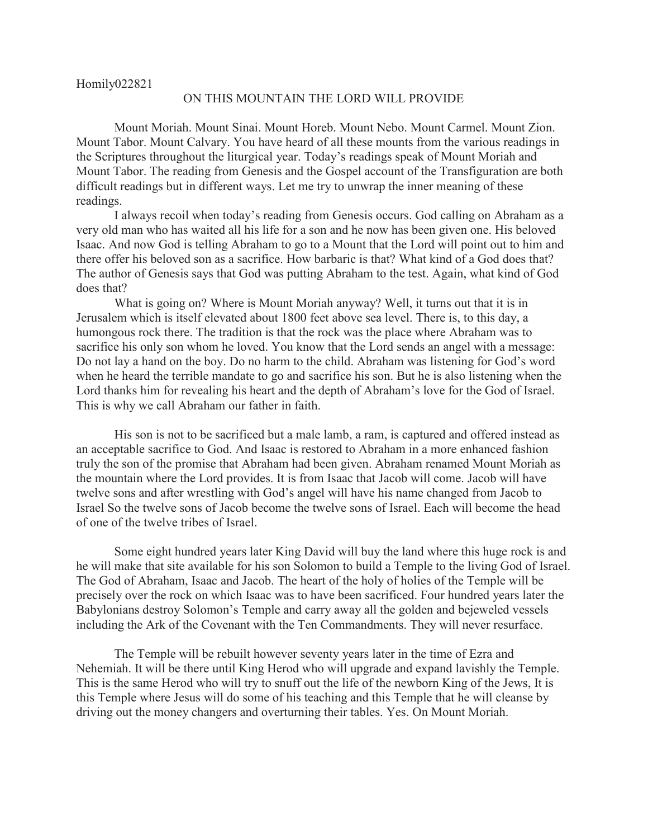Homily022821

## ON THIS MOUNTAIN THE LORD WILL PROVIDE

Mount Moriah. Mount Sinai. Mount Horeb. Mount Nebo. Mount Carmel. Mount Zion. Mount Tabor. Mount Calvary. You have heard of all these mounts from the various readings in the Scriptures throughout the liturgical year. Today's readings speak of Mount Moriah and Mount Tabor. The reading from Genesis and the Gospel account of the Transfiguration are both difficult readings but in different ways. Let me try to unwrap the inner meaning of these readings.

I always recoil when today's reading from Genesis occurs. God calling on Abraham as a very old man who has waited all his life for a son and he now has been given one. His beloved Isaac. And now God is telling Abraham to go to a Mount that the Lord will point out to him and there offer his beloved son as a sacrifice. How barbaric is that? What kind of a God does that? The author of Genesis says that God was putting Abraham to the test. Again, what kind of God does that?

What is going on? Where is Mount Moriah anyway? Well, it turns out that it is in Jerusalem which is itself elevated about 1800 feet above sea level. There is, to this day, a humongous rock there. The tradition is that the rock was the place where Abraham was to sacrifice his only son whom he loved. You know that the Lord sends an angel with a message: Do not lay a hand on the boy. Do no harm to the child. Abraham was listening for God's word when he heard the terrible mandate to go and sacrifice his son. But he is also listening when the Lord thanks him for revealing his heart and the depth of Abraham's love for the God of Israel. This is why we call Abraham our father in faith.

His son is not to be sacrificed but a male lamb, a ram, is captured and offered instead as an acceptable sacrifice to God. And Isaac is restored to Abraham in a more enhanced fashion truly the son of the promise that Abraham had been given. Abraham renamed Mount Moriah as the mountain where the Lord provides. It is from Isaac that Jacob will come. Jacob will have twelve sons and after wrestling with God's angel will have his name changed from Jacob to Israel So the twelve sons of Jacob become the twelve sons of Israel. Each will become the head of one of the twelve tribes of Israel.

Some eight hundred years later King David will buy the land where this huge rock is and he will make that site available for his son Solomon to build a Temple to the living God of Israel. The God of Abraham, Isaac and Jacob. The heart of the holy of holies of the Temple will be precisely over the rock on which Isaac was to have been sacrificed. Four hundred years later the Babylonians destroy Solomon's Temple and carry away all the golden and bejeweled vessels including the Ark of the Covenant with the Ten Commandments. They will never resurface.

The Temple will be rebuilt however seventy years later in the time of Ezra and Nehemiah. It will be there until King Herod who will upgrade and expand lavishly the Temple. This is the same Herod who will try to snuff out the life of the newborn King of the Jews, It is this Temple where Jesus will do some of his teaching and this Temple that he will cleanse by driving out the money changers and overturning their tables. Yes. On Mount Moriah.